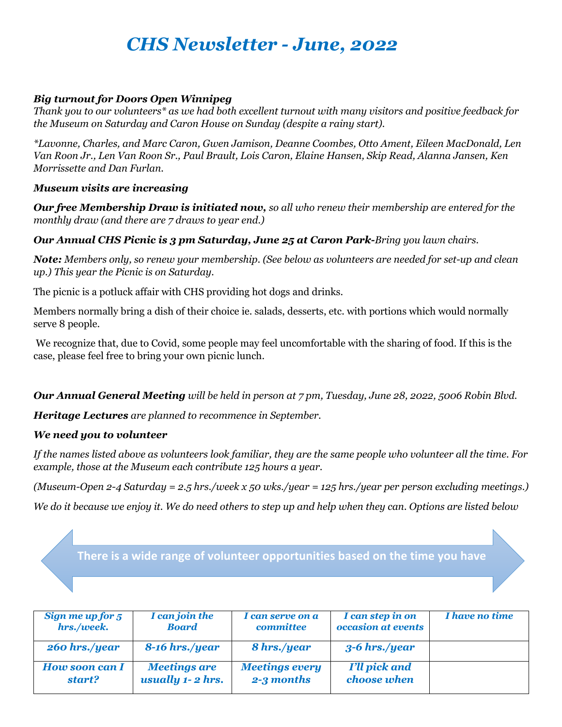# *CHS Newsletter - June, 2022*

### *Big turnout for Doors Open Winnipeg*

*Thank you to our volunteers\* as we had both excellent turnout with many visitors and positive feedback for the Museum on Saturday and Caron House on Sunday (despite a rainy start).*

*\*Lavonne, Charles, and Marc Caron, Gwen Jamison, Deanne Coombes, Otto Ament, Eileen MacDonald, Len Van Roon Jr., Len Van Roon Sr., Paul Brault, Lois Caron, Elaine Hansen, Skip Read, Alanna Jansen, Ken Morrissette and Dan Furlan.*

#### *Museum visits are increasing*

*Our free Membership Draw is initiated now, so all who renew their membership are entered for the monthly draw (and there are 7 draws to year end.)*

#### *Our Annual CHS Picnic is 3 pm Saturday, June 25 at Caron Park-Bring you lawn chairs.*

*Note: Members only, so renew your membership. (See below as volunteers are needed for set-up and clean up.) This year the Picnic is on Saturday.*

The picnic is a potluck affair with CHS providing hot dogs and drinks.

Members normally bring a dish of their choice ie. salads, desserts, etc. with portions which would normally serve 8 people.

We recognize that, due to Covid, some people may feel uncomfortable with the sharing of food. If this is the case, please feel free to bring your own picnic lunch.

*Our Annual General Meeting will be held in person at 7 pm, Tuesday, June 28, 2022, 5006 Robin Blvd.*

*Heritage Lectures are planned to recommence in September.*

## *We need you to volunteer*

*If the names listed above as volunteers look familiar, they are the same people who volunteer all the time. For example, those at the Museum each contribute 125 hours a year.*

*(Museum-Open 2-4 Saturday = 2.5 hrs./week x 50 wks./year = 125 hrs./year per person excluding meetings.)* 

*We do it because we enjoy it. We do need others to step up and help when they can. Options are listed below*

**There is a wide range of volunteer opportunities based on the time you have** 

| Sign me up for 5      | I can join the      | I can serve on a      | I can step in on     | <i>I have no time</i> |
|-----------------------|---------------------|-----------------------|----------------------|-----------------------|
| hrs./week.            | <b>Board</b>        | committee             | occasion at events   |                       |
| 260 hrs./year         | $8-16$ hrs./year    | 8 hrs./year           | $3-6$ hrs./year      |                       |
| <b>How soon can I</b> | <b>Meetings are</b> | <b>Meetings every</b> | <b>I'll pick and</b> |                       |
| start?                | usually 1-2 hrs.    | 2-3 months            | choose when          |                       |